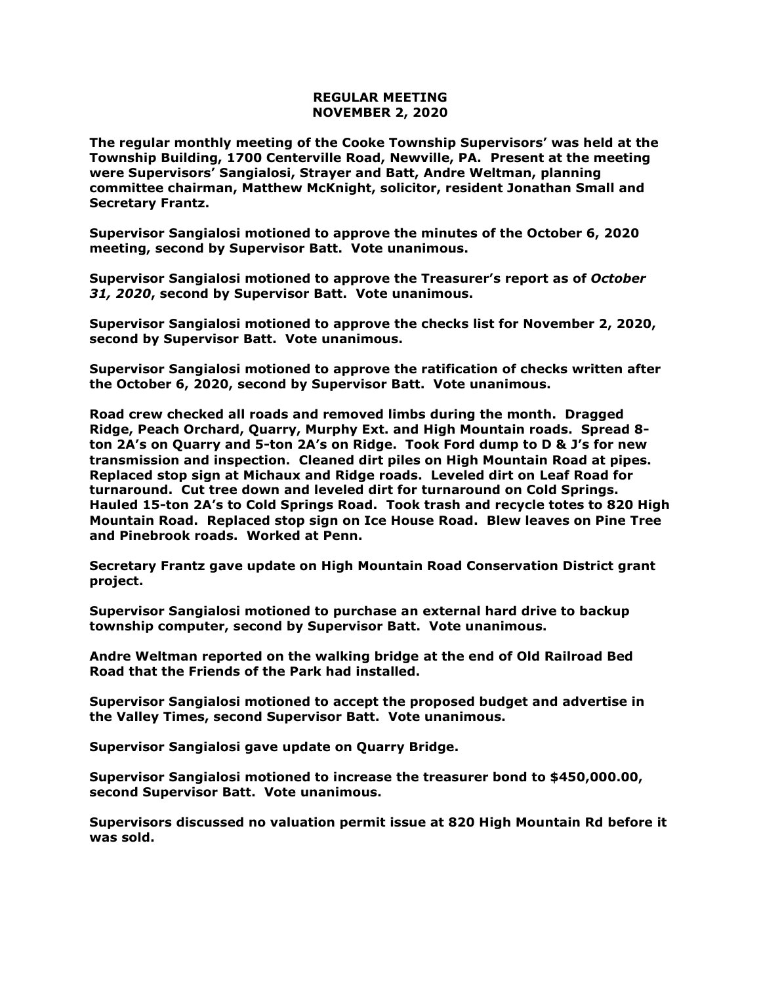## **REGULAR MEETING NOVEMBER 2, 2020**

**The regular monthly meeting of the Cooke Township Supervisors' was held at the Township Building, 1700 Centerville Road, Newville, PA. Present at the meeting were Supervisors' Sangialosi, Strayer and Batt, Andre Weltman, planning committee chairman, Matthew McKnight, solicitor, resident Jonathan Small and Secretary Frantz.** 

**Supervisor Sangialosi motioned to approve the minutes of the October 6, 2020 meeting, second by Supervisor Batt. Vote unanimous.** 

**Supervisor Sangialosi motioned to approve the Treasurer's report as of** *October 31, 2020***, second by Supervisor Batt. Vote unanimous.**

**Supervisor Sangialosi motioned to approve the checks list for November 2, 2020, second by Supervisor Batt. Vote unanimous.**

**Supervisor Sangialosi motioned to approve the ratification of checks written after the October 6, 2020, second by Supervisor Batt. Vote unanimous.**

**Road crew checked all roads and removed limbs during the month. Dragged Ridge, Peach Orchard, Quarry, Murphy Ext. and High Mountain roads. Spread 8 ton 2A's on Quarry and 5-ton 2A's on Ridge. Took Ford dump to D & J's for new transmission and inspection. Cleaned dirt piles on High Mountain Road at pipes. Replaced stop sign at Michaux and Ridge roads. Leveled dirt on Leaf Road for turnaround. Cut tree down and leveled dirt for turnaround on Cold Springs. Hauled 15-ton 2A's to Cold Springs Road. Took trash and recycle totes to 820 High Mountain Road. Replaced stop sign on Ice House Road. Blew leaves on Pine Tree and Pinebrook roads. Worked at Penn.**

**Secretary Frantz gave update on High Mountain Road Conservation District grant project.**

**Supervisor Sangialosi motioned to purchase an external hard drive to backup township computer, second by Supervisor Batt. Vote unanimous.**

**Andre Weltman reported on the walking bridge at the end of Old Railroad Bed Road that the Friends of the Park had installed.**

**Supervisor Sangialosi motioned to accept the proposed budget and advertise in the Valley Times, second Supervisor Batt. Vote unanimous.**

**Supervisor Sangialosi gave update on Quarry Bridge.**

**Supervisor Sangialosi motioned to increase the treasurer bond to \$450,000.00, second Supervisor Batt. Vote unanimous.**

**Supervisors discussed no valuation permit issue at 820 High Mountain Rd before it was sold.**